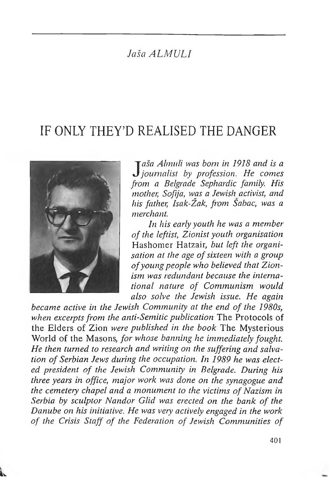# *Jaša ALMULI*

# IF ONLY THEY'D REALISED THE DANGER



u

*J aša Almuli was bom in 1918 and is a journalist by profession. He comes from a Belgrade Sephardic family, His mother, Sofija, was a Jewish activist, and his father, Isak-Žak, from Sabac, was a merchant.*

*In his early youth he was a member of the leftist,, Zionist youth organisation* Hashomer Hatzair, *but left the organisation at the age ofsixteen with <sup>a</sup> group ofyoung people who believed that Zionism was redundant because the international nature of Communism would also solve the Jewish issue. He again*

*became active in the Jewish Community at the end of the 1980s, when excerptsfrom the anti-Semitic publication* The Protocols of the Elders of Zion *were published in the book* The Mysterious World of the Masons, *for whose banning he immediately fought. He then turned to research and writing on the suffering and salvalion of Serbian Jews during the occupation. In 1989 he was elected president of the Jewish Community in Belgrade. During his three years in office, major work was done on the synagogue and the cemetery chapel and <sup>b</sup> monument to the victims ofNazism in Serbia by sculptor Nandor Glid was erected on the bank of the Danube on his initiative. He was very actively engaged in the work of the Crisis Staff of the Federation of Jewish Communities of*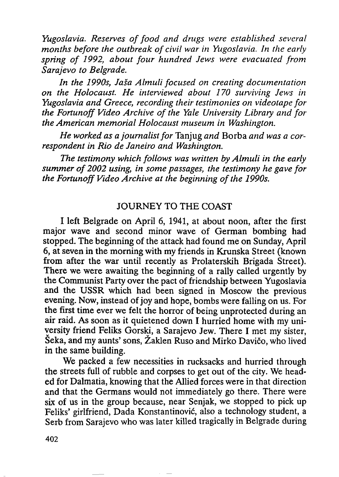*Yugoslavia. Reserves offood and drugs were established several months before the outbreak of civil war in Yugoslavia. In the early spring of 1992, about four hundred Jews were evacuated from Sarajevo to Belgrade.*

*In the 1990s, Jaša Almuli focused on creating documentation on the Holocaust. He interviewed about 170 surviving Jews in Yugoslavia and Greece, recording their testimonies on videotape for the Fortunoff Video Archive of the Yale University Library and for the American memorial Holocaust museum in Washington.*

*He worked as a journalistfor* Tanjug *and* Borba *and was a correspondent in Rio de Janeiro and Washington.*

*The testimony which follows was written by Almuli in the early summer of 2002 using, in some passages, the testimony he gave for the Fortunoff Video Archive at the beginning ofthe 1990s.*

# JOURNEY TO THE COAST

I left Belgrade on April 6, 1941, at about noon, after the first major wave and second minor wave of German bombing had stopped. The beginning of the attack had found me on Sunday, April 6, at seven in the morning with my friends in Krunska Street (known from after the war until recently as Prolaterskih Brigada Street). There we were awaiting the beginning of a rally called urgently by the Communist Party over the pact of friendship between Yugoslavia and the USSR which had been signed in Moscow the previous evening. Now, instead of joy and hope, bombs were falling on us. For the first time ever we felt the horror of being unprotected during an air raid. As soon as it quietened down I hurried home with my university friend Feliks Gorski, a Sarajevo Jew. There I met my sister, Šeka, and my aunts' sons, Žaklen Ruso and Mirko Davičo, who lived in the same building.

We packed a few necessities in rucksacks and hurried through the streets full of rubble and corpses to get out of the city. We headed for Dalmatia, knowing that the Allied forces were in that direction and that the Germans would not immediately go there. There were six of us in the group because, near Senjak, we stopped to pick up Feliks' girlfriend, Dada Konstantinović, also a technology student, a Serb from Sarajevo who was later killed tragically in Belgrade during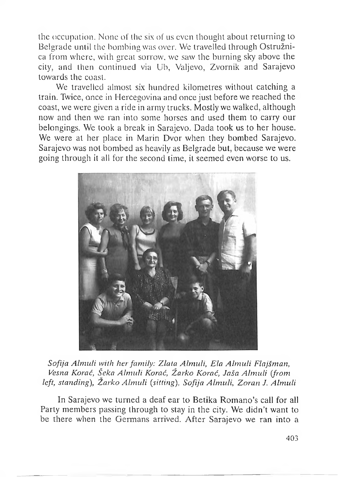the occupation. None of the six of us even thought about returning to Belgrade until the bombing was over. We travelled through Ostružnica from where, with great sorrow, we saw the burning sky above the city, and then continued via Ub, Valjevo, Zvornik and Sarajevo towards the coast.

We travelled almost six hundred kilometres without catching a train. Twice, once in Hercegovina and once just before we reached the coast, we were given a ride in army trucks. Mostly we walked, although now and then we ran into some horses and used them to carry our belongings. We took a break in Sarajevo. Dada took us to her house. We were at her place in Marin Dvor when they bombed Sarajevo. Sarajevo was not bombed as heavily as Belgrade but, because we were going through it all for the second time, it seemed even worse to us.



*Sofija Almuli with herfamily: Zlata Almuli, Ela Almuli Flajšman, Fesna Korać, Šeka Almuli Korać, Žarko Korać, Jaša Almuli (from left, standing), Zarko Almuli (sitting), Sofija Almuli, Zoran J. Almuli*

In Sarajevo we turned a deaf ear to Betika Romano's call for all Party members passing through to stay in the city. We didn't want to be there when the Germans arrived. After Sarajevo we ran into a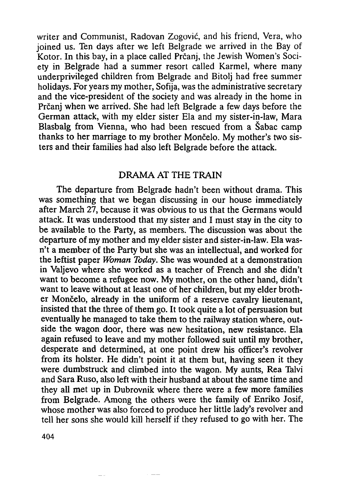writer and Communist, Radovan Zogović, and his friend, Vera, who joined us. Ten days after we left Belgrade we arrived in the Bay of Kotor. In this bay, in a place called Prčanj, the Jewish Women's Society in Belgrade had a summer resort called Karmel, where many underprivileged children from Belgrade and Bitolj had free summer holidays. For years my mother, Sofija, was the administrative secretary and the vice-president of the society and was already in the home in Prčanj when we arrived. She had left Belgrade a few days before the German attack, with my elder sister Ela and my sister-in-law, Mara Blasbalg from Vienna, who had been rescued from a Šabac camp thanks to her marriage to my brother Mončelo. My mother's two sisters and their families had also left Belgrade before the attack.

## DRAMA AT THE TRAIN

The departure from Belgrade hadn't been without drama. This was something that we began discussing in our house immediately after March 27, because it was obvious to us that the Germans would attack. It was understood that my sister and I must stay in the city to be available to the Party, as members. The discussion was about the departure of my mother and my elder sister and sister-in-law. Ela wasn't a member of the Party but she was an intellectual, and worked for the leftist paper *Woman Today.* She was wounded at a demonstration in Valjevo where she worked as a teacher of French and she didn't want to become a refugee now. My mother, on the other hand, didn't want to leave without at least one of her children, but my elder brother Mončelo, already in the uniform of a reserve cavalry lieutenant, insisted that the three of them go. It took quite a lot of persuasion but eventually he managed to take them to the railway station where, outside the wagon door, there was new hesitation, new resistance. Ela again refused to leave and my mother followed suit until my brother, desperate and determined, at one point drew his officer's revolver from its holster. He didn't point it at them but, having seen it they were dumbstruck and climbed into the wagon. My aunts, Rea Talvi and Sara Ruso, also left with their husband at about the same time and they all met up in Dubrovnik where there were a few more families from Belgrade. Among the others were the family of Enriko Josif, whose mother was also forced to produce her little lady's revolver and tell her sons she would kill herself if they refused to go with her. The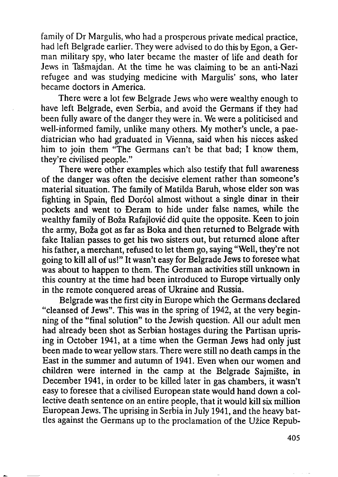family of Dr Margulis, who had a prosperous private medical practice, had left Belgrade earlier. They were advised to do this by Egon, a German military spy, who later became the master of life and death for Jews in Tašmajdan. At the time he was claiming to be an anti-Nazi refugee and was studying medicine with Margulis' sons, who later became doctors in America.

There were a lot few Belgrade Jews who were wealthy enough to have left Belgrade, even Serbia, and avoid the Germans if they had been fully aware of the danger they were in. We were a politicised and well-informed family, unlike many others. My mother's uncle, a paediatrician who had graduated in Vienna, said when his nieces asked him to join them "The Germans can't be that bad; I know them, they're civilised people."

There were other examples which also testify that full awareness of the danger was often the decisive element rather than someone's material situation. The family of Matilda Baruh, whose elder son was fighting in Spain, fled Dorćol almost without a single dinar in their pockets and went to Đeram to hide under false names, while the wealthy family of Boža Rafajlović did quite the opposite. Keen to join the army, Boža got as far as Boka and then returned to Belgrade with fake Italian passes to get his two sisters out, but returned alone after his father, a merchant, refused to let them go, saying "Well, they're not going to kill all of us!" It wasn't easy for Belgrade Jews to foresee what was about to happen to them. The German activities still unknown in this country at the time had been introduced to Europe virtually only in the remote conquered areas of Ukraine and Russia.

Belgrade was the first city in Europe which the Germans declared "cleansed of Jews". This was in the spring of 1942, at the very beginning of the "final solution" to the Jewish question. All our adult men had already been shot as Serbian hostages during the Partisan uprising in October 1941, at a time when the German Jews had only just been made to wear yellow stars. There were still no death camps in the East in the summer and autumn of 1941. Even when our women and children were interned in the camp at the Belgrade Sajmište, in December 1941, in order to be killed later in gas chambers, it wasn't easy to foresee that a civilised European state would hand down a collective death sentence on an entire people, that it would kill six million European Jews. The uprising in Serbia in July 1941, and the heavy batties against the Germans up to the proclamation of the Užice Repub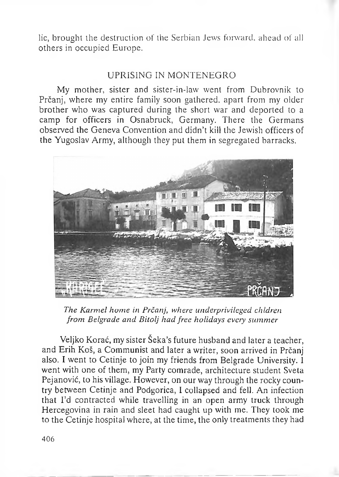lie, brought the destruction of the Serbian Jews forward, ahead of all others in occupied Europe.

# UPRISING IN MONTENEGRO

My mother, sister and sister-in-law went from Dubrovnik to Prčanj, where my entire family soon gathered, apart from my older brother who was captured during the short war and deported to a camp for officers in Osnabruck, Germany. There the Germans observed the Geneva Convention and didn't kill the Jewish officers of the Yugoslav Army, although they put them in segregated barracks.



*The Karmel home in Prčanj, where underprivileged chldren from Belgrade and Bitolj had free holidays every summer*

Veljko Korać, my sister Seka's future husband and later a teacher, and Erih Koš, a Communist and later a writer, soon arrived in Prčanj also. I went to Cetinje to join my friends from Belgrade University. I went with one of them, my Party comrade, architecture student Sveta Pejanović, to his village. However, on our way through the rocky country between Cetinje and Podgorica, I collapsed and fell. An infection that I'd contracted while travelling in an open army truck through Hercegovina in rain and sleet had caught up with me. They took me to the Cetinje hospital where, at the time, the only treatments they had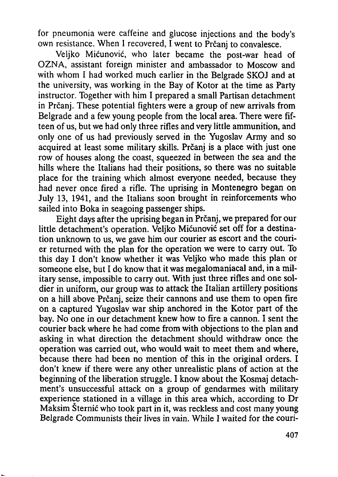for pneumonia were caffeine and glucose injections and the body's own resistance. When <sup>I</sup> recovered, I went to Prčanj to convalesce.

Veljko Mićunović, who later became the post-war head of OZNA, assistant foreign minister and ambassador to Moscow and with whom I had worked much earlier in the Belgrade SKOJ and at the university, was working in the Bay of Kotor at the time as Party instructor. Together with him I prepared a small Partisan detachment in Prčanj. These potential fighters were a group of new arrivals from Belgrade and a few young people from the local area. There were fifteen of us, but we had only three rifles and very little ammunition, and only one of us had previously served in the Yugoslav Army and so acquired at least some military skills. Prčanj is a place with just one row of houses along the coast, squeezed in between the sea and the hills where the Italians had their positions, so there was no suitable place for the training which almost everyone needed, because they had never once fired a rifle. The uprising in Montenegro began on July 13, 1941, and the Italians soon brought in reinforcements who sailed into Boka in seagoing passenger ships.

Eight days after the uprising began in Prčanj, we prepared for our little detachment's operation. Veljko Mićunović set off for a destination unknown to us, we gave him our courier as escort and the courier returned with the plan for the operation we were to carry out. To this day I don't know whether it was Veljko who made this plan or someone else, but I do know that it was megalomaniacal and, in a military sense, impossible to carry out. With just three rifles and one soldier in uniform, our group was to attack the Italian artillery positions on a hill above Prčanj, seize their cannons and use them to open fire on a captured Yugoslav war ship anchored in the Kotor part of the bay. No one in our detachment knew how to fire a cannon. I sent the courier back where he had come from with objections to the plan and asking in what direction the detachment should withdraw once the operation was carried out, who would wait to meet them and where, because there had been no mention of this in the original orders. I don't knew if there were any other unrealistic plans of action at the beginning of the liberation struggle. I know about the Kosmaj detachment's unsuccessful attack on a group of gendarmes with military experience stationed in a village in this area which, according to Dr Maksim Štemić who took part in it, was reckless and cost many young Belgrade Communists their lives in vain. While I waited for the couri-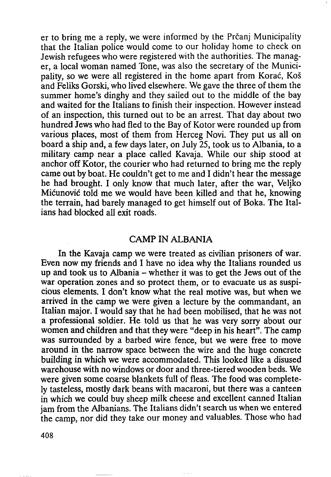er to bring me a reply, we were informed by the Prčanj Municipality that the Italian police would come to our holiday home to check on Jewish refugees who were registered with the authorities. The manager, a local woman named Tone, was also the secretary of the Municipality, so we were all registered in the home apart from Korać, Koš and Feliks Gorski, who lived elsewhere. We gave the three of them the summer home's dinghy and they sailed out to the middle of the bay and waited for the Italians to finish their inspection. However instead of an inspection, this turned out to be an arrest. That day about two hundred Jews who had fled to the Bay of Kotor were rounded up from various places, most of them from Herceg Novi. They put us all on board a ship and, a few days later, on July 25, took us to Albania, to a military camp near a place called Kavaja. While our ship stood at anchor off Kotor, the courier who had returned to bring me the reply came out by boat. He couldn't get to me and I didn't hear the message he had brought. I only know that much later, after the war, Veljko Mićunović told me we would have been killed and that he, knowing the terrain, had barely managed to get himself out of Boka. The Italians had blocked all exit roads.

#### CAMP IN ALBANIA

In the Kavaja camp we were treated as civilian prisoners of war. Even now my friends and I have no idea why the Italians rounded us up and took us to Albania - whether it was to get the Jews out of the war operation zones and so protect them, or to evacuate us as suspicious elements. I don't know what the real motive was, but when we arrived in the camp we were given a lecture by the commandant, an Italian major. I would say that he had been mobilised, that he was not a professional soldier. He told us that he was very sorry about our women and children and that they were "deep in his heart". The camp was surrounded by a barbed wire fence, but we were free to move around in the narrow space between the wire and the huge concrete building in which we were accommodated. This looked like a disused warehouse with no windows or door and three-tiered wooden beds. We were given some coarse blankets full of fleas. The food was completely tasteless, mostly dark beans with macaroni, but there was a canteen in which we could buy sheep milk cheese and excellent canned Italian jam from the Albanians. The Italians didn't search us when we entered the camp, nor did they take our money and valuables. Those who had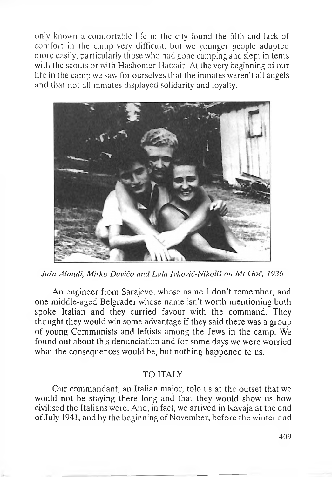only known a comfortable life in the city found the filth and lack of comfort in the camp very difficult, but we younger people adapted more easily, particularly those who had gone camping and slept in tents with the scouts or with Hashomer Hatzair. At the very beginning of our life in the camp we saw for ourselves that the inmates weren't all angels and that not all inmates displayed solidarity and loyalty.



*Jaša Alrnuli, Mirko Davičo and Lala Ivković-Nikoliš on Mt Goč, 1936*

An engineer from Sarajevo, whose name I don't remember, and one middle-aged Belgrader whose name isn't worth mentioning both spoke Italian and they curried favour with the command. They thought they would win some advantage if they said there was a group of young Communists and leftists among the Jews in the camp. We found out about this denunciation and for some days we were worried what the consequences would be, but nothing happened to us.

#### **TO ITALY**

Our commandant, an Italian major, told us at the outset that we would not be staying there long and that they would show us how civilised the Italians were. And, in fact, we arrived in Kavaja at the end of July 1941, and by the beginning of November, before the winter and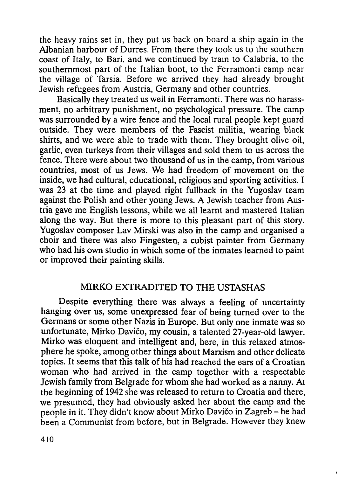the heavy rains set in, they put us back on board a ship again in the Albanian harbour of Durres. From there they took us to the southern coast of Italy, to Bari, and we continued by train to Calabria, to the southernmost part of the Italian boot, to the Ferramonti camp near the village of Tarsia. Before we arrived they had already brought Jewish refugees from Austria, Germany and other countries.

Basically they treated us well in Ferramonti. There was no harassment, no arbitrary punishment, no psychological pressure. The camp was surrounded by a wire fence and the local rural people kept guard outside. They were members of the Fascist militia, wearing black shirts, and we were able to trade with them. They brought olive oil, garlic, even turkeys from their villages and sold them to us across the fence. There were about two thousand of us in the camp, from various countries, most of us Jews. We had freedom of movement on the inside, we had cultural, educational, religious and sporting activities. I was 23 at the time and played right fullback in the Yugoslav team against the Polish and other young Jews. A Jewish teacher from Austria gave me English lessons, while we all learnt and mastered Italian along the way. But there is more to this pleasant part of this story. Yugoslav composer Lav Mirski was also in the camp and organised a choir and there was also Fingesten, a cubist painter from Germany who had his own studio in which some of the inmates learned to paint or improved their painting skills.

## MIRKO EXTRADITED TO THE USTASHAS

Despite everything there was always a feeling of uncertainty hanging over us, some unexpressed fear of being turned over to the Germans or some other Nazis in Europe. But only one inmate was so unfortunate, Mirko Davičo, my cousin, a talented 27-year-old lawyer. Mirko was eloquent and intelligent and, here, in this relaxed atmosphere he spoke, among other things about Marxism and other delicate topics. It seems that this talk of his had reached the ears of a Croatian woman who had arrived in the camp together with a respectable Jewish family from Belgrade for whom she had worked as a nanny. At the beginning of 1942 she was released to return to Croatia and there, we presumed, they had obviously asked her about the camp and the people in it. They didn'<sup>t</sup> know about Mirko Davičo in Zagreb - he had been a Communist from before, but in Belgrade. However they knew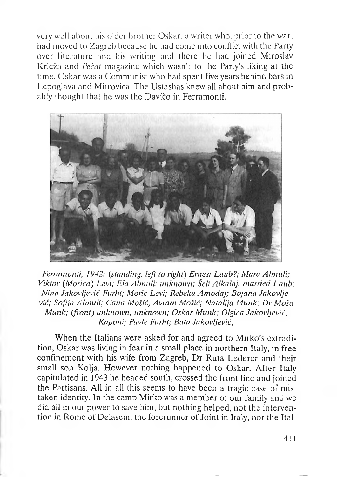very well about his older brother Oskar, a writer who, prior to the war, had moved to Zagreb because he had come into conflict with the Party over literature and his writing and there he had joined Miroslav Krleža and *Pečat* magazine which wasn't to the Party's liking at the time. Oskar was a Communist who had spent five years behind bars in Lepoglava and Mitrovica. The Ustashas knew all about him and probably thought that he was the Davičo in Ferramonti.



*Ferramonti, 1942: (standing, left to right) Ernest Laub?; Mara Almuli; Viktor (Morica) Levi; Ela Almuli; unknown; Šeli Alkalaj, married Laub; Nina Jakovljević-Furht; Moric Levi; Rebeka Amodaj; Bojana Jakovljević; Sofija Almuli; Cana Mošić; Avram Mošić; Natalija Munk; Dr Moša Munk; (front) unknown; unknown; Oskar Munk; Olgica Jakovljević; Kaponi; Pavle Furht; Bata Jakovljević;*

When the Italians were asked for and agreed to Mirko's extradition, Oskar was living in fear in a small place in northern Italy, in free confinement with his wife from Zagreb, Dr Ruta Lederer and their small son Kolja. However nothing happened to Oskar. After Italy capitulated in 1943 he headed south, crossed the front line and joined the Partisans. All in all this seems to have been a tragic case of mistaken identity. In the camp Mirko was a member of our family and we did all in our power to save him, but nothing helped, not the intervention in Rome of Delasem, the forerunner of Joint in Italy, nor the Ital-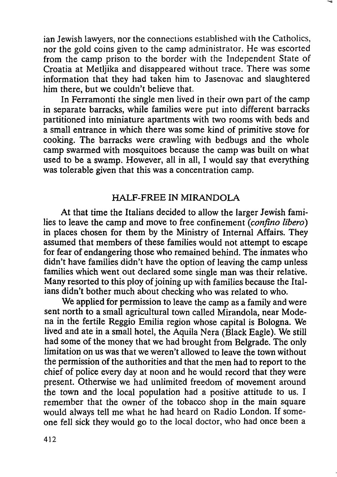ian Jewish lawyers, nor the connections established with the Catholics, nor the gold coins given to the camp administrator. He was escorted from the camp prison to the border with the Independent State of Croatia at Metljika and disappeared without trace. There was some information that they had taken him to Jasenovac and slaughtered him there, but we couldn't believe that.

In Ferramonti the single men lived in their own part of the camp in separate barracks, while families were put into different barracks partitioned into miniature apartments with two rooms with beds and a small entrance in which there was some kind of primitive stove for cooking. The barracks were crawling with bedbugs and the whole camp swarmed with mosquitoes because the camp was built on what used to be a swamp. However, all in all, I would say that everything was tolerable given that this was a concentration camp.

## HALF-FREE IN MIRANDOLA

At that time the Italians decided to allow the larger Jewish families to leave the camp and move to free confinement *(confino libero)* in places chosen for them by the Ministry of Internal Affairs. They assumed that members of these families would not attempt to escape for fear of endangering those who remained behind. The inmates who didn't have families didn't have the option of leaving the camp unless families which went out declared some single man was their relative. Many resorted to this ploy of joining up with families because the Italians didn't bother much about checking who was related to who.

We applied for permission to leave the camp as a family and were sent north to a small agricultural town called Mirandola, near Modena in the fertile Reggio Emilia region whose capital is Bologna. We lived and ate in a small hotel, the Aquila Nera (Black Eagle). We still had some of the money that we had brought from Belgrade. The only limitation on us was that we weren't allowed to leave the town without the permission of the authorities and that the men had to report to the chief of police every day at noon and he would record that they were present. Otherwise we had unlimited freedom of movement around the town and the local population had a positive attitude to us. I remember that the owner of the tobacco shop in the main square would always tell me what he had heard on Radio London. If someone fell sick they would go to the local doctor, who had once been a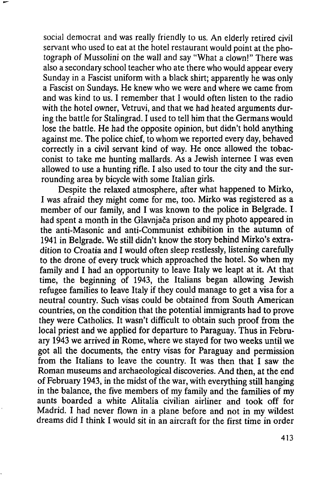social democrat and was really friendly to us. An elderly retired civil servant who used to eat at the hotel restaurant would point at the photograph of Mussolini on the wall and say "What a clown!" There was also a secondary school teacher who ate there who would appear every Sunday in a Fascist uniform with a black shirt; apparently he was only a Fascist on Sundays. He knew who we were and where we came from and was kind to us. I remember that I would often listen to the radio with the hotel owner, Vetruvi, and that we had heated arguments during the battle for Stalingrad. I used to tell him that the Germans would lose the battle. He had the opposite opinion, but didn't hold anything against me. The police chief, to whom we reported every day, behaved correctly in a civil servant kind of way. He once allowed the tobacconist to take me hunting mallards. As a Jewish internee I was even allowed to use a hunting rifle. I also used to tour the city and the surrounding area by bicycle with some Italian girls.

Despite the relaxed atmosphere, after what happened to Mirko, I was afraid they might come for me, too. Mirko was registered as a member of our family, and I was known to the police in Belgrade. I had spent a month in the Glavnjača prison and my photo appeared in the anti-Masonic and anti-Communist exhibition in the autumn of 1941 in Belgrade. We still didn't know the story behind Mirko's extradition to Croatia and I would often sleep restlessly, listening carefully to the drone of every truck which approached the hotel. So when my family and I had an opportunity to leave Italy we leapt at it. At that time, the beginning of 1943, the Italians began allowing Jewish refugee families to leave Italy if they could manage to get a visa for a neutral country. Such visas could be obtained from South American countries, on the condition that the potential immigrants had to prove they were Catholics. It wasn't difficult to obtain such proof from the local priest and we applied for departure to Paraguay. Thus in February 1943 we arrived in Rome, where we stayed for two weeks until we got all the documents, the entry visas for Paraguay and permission from the Italians to leave the country. It was then that I saw the Roman museums and archaeological discoveries. And then, at the end of February 1943, in the midst of the war, with everything still hanging in the balance, the five members of my family and the families of my aunts boarded a white Alitalia civilian airliner and took off for Madrid. I had never flown in a plane before and not in my wildest dreams did I think I would sit in an aircraft for the first time in order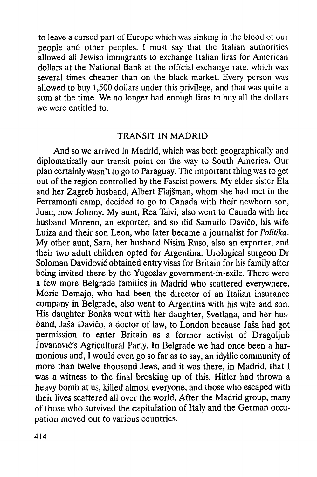to leave a cursed part of Europe which was sinking in the blood of our people and other peoples. I must say that the Italian authorities allowed all Jewish immigrants to exchange Italian liras for American dollars at the National Bank at the official exchange rate, which was several times cheaper than on the black market. Every person was allowed to buy 1,500 dollars under this privilege, and that was quite a sum at the time. We no longer had enough liras to buy all the dollars we were entitled to.

# TRANSIT IN MADRID

And so we arrived in Madrid, which was both geographically and diplomatically our transit point on the way to South America. Our plan certainly wasn't to go to Paraguay. The important thing was to get out of the region controlled by the Fascist powers. My elder sister Ela and her Zagreb husband, Albert Flajšman, whom she had met in the Ferramonti camp, decided to go to Canada with their newborn son, Juan, now Johnny. My aunt, Rea Talvi, also went to Canada with her husband Moreno, an exporter, and so did Samuilo Davičo, his wife Luiza and their son Leon, who later became a journalist for *Politika.* My other aunt, Sara, her husband Nisim Ruso, also an exporter, and their two adult children opted for Argentina. Urological surgeon Dr Soloman Davidović obtained entry visas for Britain for his family after being invited there by the Yugoslav government-in-exile. There were a few more Belgrade families in Madrid who scattered everywhere. Moric Demajo, who had been the director of an Italian insurance company in Belgrade, also went to Argentina with his wife and son. His daughter Bonka went with her daughter, Svetlana, and her husband, Jaša Davičo, a doctor of law, to London because Jaša had got permission to enter Britain as a former activist of Dragoljub Jovanović's Agricultural Party. In Belgrade we had once been a harmonious and, I would even go so far as to say, an idyllic community of more than twelve thousand Jews, and it was there, in Madrid, that I was a witness to the final breaking up of this. Hitler had thrown a heavy bomb at us, killed almost everyone, and those who escaped with their lives scattered all over the world. After the Madrid group, many of those who survived the capitulation of Italy and the German occupation moved out to various countries.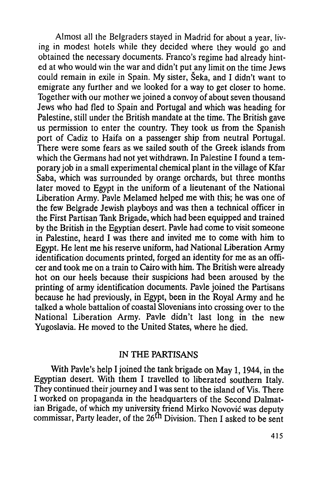Almost all the Belgraders stayed in Madrid for about a year, living in modest hotels while they decided where they would go and obtained the necessary documents. Franco's regime had already hinted at who would win the war and didn't put^any limit on the time Jews could remain in exile in Spain. My sister, Šeka, and I didn't want to emigrate any further and we looked for a way to get closer to home. Together with our mother we joined a convoy of about seven thousand Jews who had fled to Spain and Portugal and which was heading for Palestine, still under the British mandate at the time. The British gave us permission to enter the country. They took us from the Spanish port of Cadiz to Haifa on a passenger ship from neutral Portugal. There were some fears as we sailed south of the Greek islands from which the Germans had not yet withdrawn. In Palestine I found a temporary job in a small experimental chemical plant in the village of Kfar Saba, which was surrounded by orange orchards, but three months later moved to Egypt in the uniform of a lieutenant of the National Liberation Army. Pavle Melamed helped me with this; he was one of the few Belgrade Jewish playboys and was then a technical officer in the First Partisan Tank Brigade, which had been equipped and trained by the British in the Egyptian desert. Pavle had come to visit someone in Palestine, heard I was there and invited me to come with him to Egypt. He lent me his reserve uniform, had National Liberation Army identification documents printed, forged an identity for me as an officer and took me on a train to Cairo with him. The British were already hot on our heels because their suspicions had been aroused by the printing of army identification documents. Pavle joined the Partisans because he had previously, in Egypt, been in the Royal Army and he talked a whole battalion of coastal Slovenians into crossing over to the National Liberation Army. Pavle didn't last long in the new Yugoslavia. He moved to the United States, where he died.

## IN THE PARTISANS

With Pavle's help I joined the tank brigade on May 1, 1944, in the Egyptian desert. With them I travelled to liberated southern Italy. They continued their journey and I was sent to the island of Vis. There I worked on propaganda in the headquarters of the Second Dalmatian Brigade, of which my university friend Mirko Novović was deputy commissar, Party leader, of the  $26<sup>fh</sup>$  Division. Then I asked to be sent